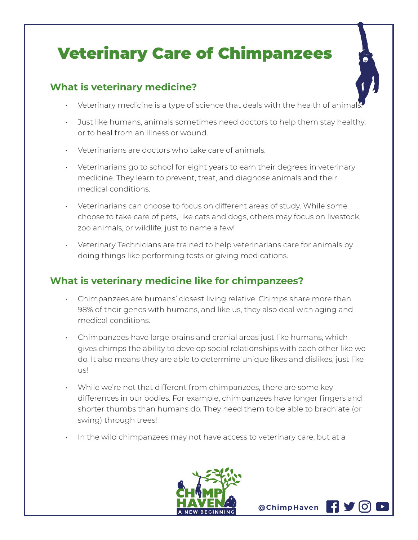## Veterinary Care of Chimpanzees

## **What is veterinary medicine?**

- $\cdot$  Veterinary medicine is a type of science that deals with the health of animal
- Just like humans, animals sometimes need doctors to help them stay healthy, or to heal from an illness or wound.
- Veterinarians are doctors who take care of animals.
- Veterinarians go to school for eight years to earn their degrees in veterinary medicine. They learn to prevent, treat, and diagnose animals and their medical conditions.
- Veterinarians can choose to focus on different areas of study. While some choose to take care of pets, like cats and dogs, others may focus on livestock, zoo animals, or wildlife, just to name a few!
- Veterinary Technicians are trained to help veterinarians care for animals by doing things like performing tests or giving medications.

## **What is veterinary medicine like for chimpanzees?**

- Chimpanzees are humans' closest living relative. Chimps share more than 98% of their genes with humans, and like us, they also deal with aging and medical conditions.
- Chimpanzees have large brains and cranial areas just like humans, which gives chimps the ability to develop social relationships with each other like we do. It also means they are able to determine unique likes and dislikes, just like us!
- While we're not that different from chimpanzees, there are some key differences in our bodies. For example, chimpanzees have longer fingers and shorter thumbs than humans do. They need them to be able to brachiate (or swing) through trees!
- In the wild chimpanzees may not have access to veterinary care, but at a



**@ChimpHaven**